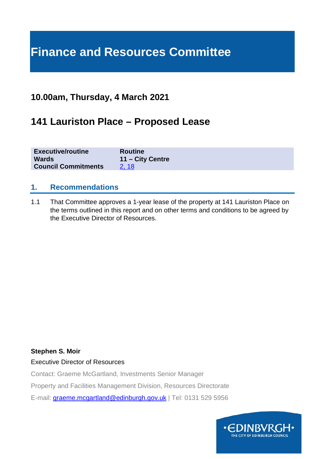# **Finance and Resources Committee**

### **10.00am, Thursday, 4 March 2021**

### **141 Lauriston Place – Proposed Lease**

| <b>Executive/routine</b>   | <b>Routine</b>   |
|----------------------------|------------------|
| <b>Wards</b>               | 11 – City Centre |
| <b>Council Commitments</b> | 2.18             |

#### **1. Recommendations**

1.1 That Committee approves a 1-year lease of the property at 141 Lauriston Place on the terms outlined in this report and on other terms and conditions to be agreed by the Executive Director of Resources.

#### **Stephen S. Moir**

Executive Director of Resources

Contact: Graeme McGartland, Investments Senior Manager

Property and Facilities Management Division, Resources Directorate

E-mail: [graeme.mcgartland@edinburgh.gov.uk](mailto:graeme.mcgartland@edinburgh.gov.uk) | Tel: 0131 529 5956

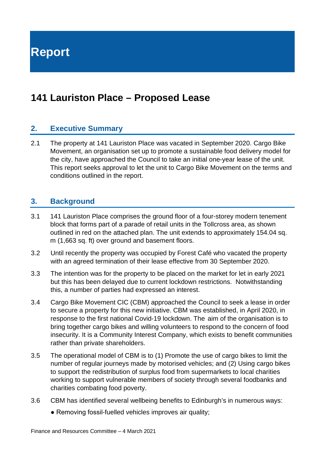**Report**

## **141 Lauriston Place – Proposed Lease**

#### **2. Executive Summary**

2.1 The property at 141 Lauriston Place was vacated in September 2020. Cargo Bike Movement, an organisation set up to promote a sustainable food delivery model for the city, have approached the Council to take an initial one-year lease of the unit. This report seeks approval to let the unit to Cargo Bike Movement on the terms and conditions outlined in the report.

#### **3. Background**

- 3.1 141 Lauriston Place comprises the ground floor of a four-storey modern tenement block that forms part of a parade of retail units in the Tollcross area, as shown outlined in red on the attached plan. The unit extends to approximately 154.04 sq. m (1,663 sq. ft) over ground and basement floors.
- 3.2 Until recently the property was occupied by Forest Café who vacated the property with an agreed termination of their lease effective from 30 September 2020.
- 3.3 The intention was for the property to be placed on the market for let in early 2021 but this has been delayed due to current lockdown restrictions. Notwithstanding this, a number of parties had expressed an interest.
- 3.4 Cargo Bike Movement CIC (CBM) approached the Council to seek a lease in order to secure a property for this new initiative. CBM was established, in April 2020, in response to the first national Covid-19 lockdown. The aim of the organisation is to bring together cargo bikes and willing volunteers to respond to the concern of food insecurity. It is a Community Interest Company, which exists to benefit communities rather than private shareholders.
- 3.5 The operational model of CBM is to (1) Promote the use of cargo bikes to limit the number of regular journeys made by motorised vehicles; and (2) Using cargo bikes to support the redistribution of surplus food from supermarkets to local charities working to support vulnerable members of society through several foodbanks and charities combating food poverty.
- 3.6 CBM has identified several wellbeing benefits to Edinburgh's in numerous ways:
	- Removing fossil-fuelled vehicles improves air quality;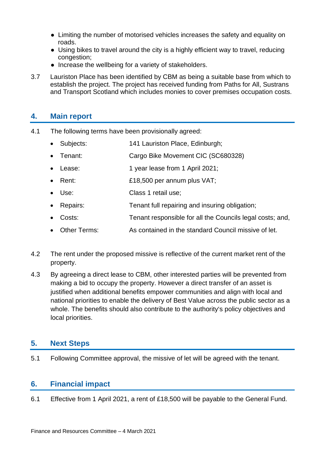- Limiting the number of motorised vehicles increases the safety and equality on roads.
- Using bikes to travel around the city is a highly efficient way to travel, reducing congestion;
- Increase the wellbeing for a variety of stakeholders.
- 3.7 Lauriston Place has been identified by CBM as being a suitable base from which to establish the project. The project has received funding from Paths for All, Sustrans and Transport Scotland which includes monies to cover premises occupation costs.

### **4. Main report**

- 4.1 The following terms have been provisionally agreed:
	- Subjects: 141 Lauriston Place, Edinburgh;
	- Tenant: Cargo Bike Movement CIC (SC680328)
	- Lease: 1 year lease from 1 April 2021;
	- Rent: £18,500 per annum plus VAT;
	- Use: Class 1 retail use;
	- Repairs: Tenant full repairing and insuring obligation;
	- Costs: Tenant responsible for all the Councils legal costs; and,
	- Other Terms: As contained in the standard Council missive of let.
- 4.2 The rent under the proposed missive is reflective of the current market rent of the property.
- 4.3 By agreeing a direct lease to CBM, other interested parties will be prevented from making a bid to occupy the property. However a direct transfer of an asset is justified when additional benefits empower communities and align with local and national priorities to enable the delivery of Best Value across the public sector as a whole. The benefits should also contribute to the authority's policy objectives and local priorities.

#### **5. Next Steps**

5.1 Following Committee approval, the missive of let will be agreed with the tenant.

#### **6. Financial impact**

6.1 Effective from 1 April 2021, a rent of £18,500 will be payable to the General Fund.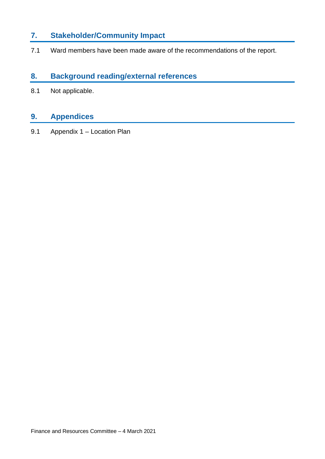### **7. Stakeholder/Community Impact**

7.1 Ward members have been made aware of the recommendations of the report.

#### **8. Background reading/external references**

8.1 Not applicable.

### **9. Appendices**

9.1 Appendix 1 – Location Plan